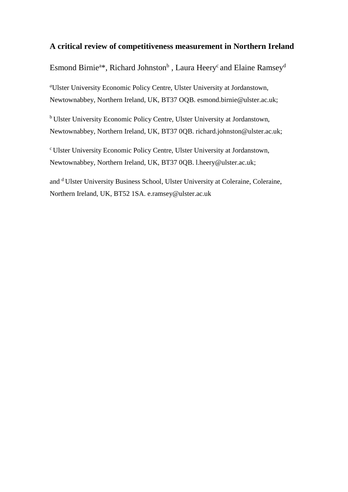# **A critical review of competitiveness measurement in Northern Ireland**

Esmond Birnie<sup>a\*</sup>, Richard Johnston<sup>b</sup> , Laura Heery<sup>c</sup> and Elaine Ramsey<sup>d</sup>

*<sup>a</sup>*Ulster University Economic Policy Centre, Ulster University at Jordanstown, Newtownabbey, Northern Ireland, UK, BT37 OQB. esmond.birnie@ulster.ac.uk;

**b** Ulster University Economic Policy Centre, Ulster University at Jordanstown, Newtownabbey, Northern Ireland, UK, BT37 0QB. richard.johnston@ulster.ac.uk;

<sup>c</sup>Ulster University Economic Policy Centre, Ulster University at Jordanstown, Newtownabbey, Northern Ireland, UK, BT37 0QB. l.heery@ulster.ac.uk;

and <sup>d</sup> Ulster University Business School, Ulster University at Coleraine, Coleraine, Northern Ireland, UK, BT52 1SA. e.ramsey@ulster.ac.uk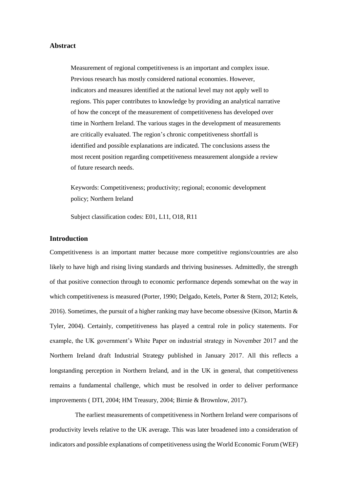### **Abstract**

Measurement of regional competitiveness is an important and complex issue. Previous research has mostly considered national economies. However, indicators and measures identified at the national level may not apply well to regions. This paper contributes to knowledge by providing an analytical narrative of how the concept of the measurement of competitiveness has developed over time in Northern Ireland. The various stages in the development of measurements are critically evaluated. The region's chronic competitiveness shortfall is identified and possible explanations are indicated. The conclusions assess the most recent position regarding competitiveness measurement alongside a review of future research needs.

Keywords: Competitiveness; productivity; regional; economic development policy; Northern Ireland

Subject classification codes: E01, L11, O18, R11

### **Introduction**

Competitiveness is an important matter because more competitive regions/countries are also likely to have high and rising living standards and thriving businesses. Admittedly, the strength of that positive connection through to economic performance depends somewhat on the way in which competitiveness is measured (Porter, 1990; Delgado, Ketels, Porter & Stern, 2012; Ketels, 2016). Sometimes, the pursuit of a higher ranking may have become obsessive (Kitson, Martin  $\&$ Tyler, 2004). Certainly, competitiveness has played a central role in policy statements. For example, the UK government's White Paper on industrial strategy in November 2017 and the Northern Ireland draft Industrial Strategy published in January 2017. All this reflects a longstanding perception in Northern Ireland, and in the UK in general, that competitiveness remains a fundamental challenge, which must be resolved in order to deliver performance improvements ( DTI, 2004; HM Treasury, 2004; Birnie & Brownlow, 2017).

 The earliest measurements of competitiveness in Northern Ireland were comparisons of productivity levels relative to the UK average. This was later broadened into a consideration of indicators and possible explanations of competitiveness using the World Economic Forum (WEF)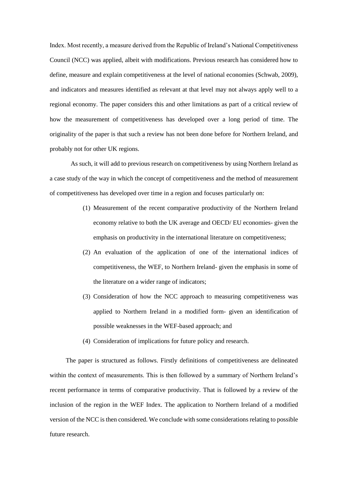Index. Most recently, a measure derived from the Republic of Ireland's National Competitiveness Council (NCC) was applied, albeit with modifications. Previous research has considered how to define, measure and explain competitiveness at the level of national economies (Schwab, 2009), and indicators and measures identified as relevant at that level may not always apply well to a regional economy. The paper considers this and other limitations as part of a critical review of how the measurement of competitiveness has developed over a long period of time. The originality of the paper is that such a review has not been done before for Northern Ireland, and probably not for other UK regions.

 As such, it will add to previous research on competitiveness by using Northern Ireland as a case study of the way in which the concept of competitiveness and the method of measurement of competitiveness has developed over time in a region and focuses particularly on:

- (1) Measurement of the recent comparative productivity of the Northern Ireland economy relative to both the UK average and OECD/ EU economies- given the emphasis on productivity in the international literature on competitiveness;
- (2) An evaluation of the application of one of the international indices of competitiveness, the WEF, to Northern Ireland- given the emphasis in some of the literature on a wider range of indicators;
- (3) Consideration of how the NCC approach to measuring competitiveness was applied to Northern Ireland in a modified form- given an identification of possible weaknesses in the WEF-based approach; and
- (4) Consideration of implications for future policy and research.

 The paper is structured as follows. Firstly definitions of competitiveness are delineated within the context of measurements. This is then followed by a summary of Northern Ireland's recent performance in terms of comparative productivity. That is followed by a review of the inclusion of the region in the WEF Index. The application to Northern Ireland of a modified version of the NCC is then considered. We conclude with some considerations relating to possible future research.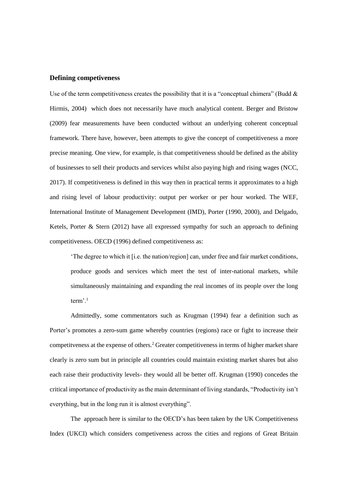#### **Defining competiveness**

Use of the term competitiveness creates the possibility that it is a "conceptual chimera" (Budd  $\&$ Hirmis, 2004) which does not necessarily have much analytical content. Berger and Bristow (2009) fear measurements have been conducted without an underlying coherent conceptual framework. There have, however, been attempts to give the concept of competitiveness a more precise meaning. One view, for example, is that competitiveness should be defined as the ability of businesses to sell their products and services whilst also paying high and rising wages (NCC, 2017). If competitiveness is defined in this way then in practical terms it approximates to a high and rising level of labour productivity: output per worker or per hour worked. The WEF, International Institute of Management Development (IMD), Porter (1990, 2000), and Delgado, Ketels, Porter & Stern (2012) have all expressed sympathy for such an approach to defining competitiveness. OECD (1996) defined competitiveness as:

'The degree to which it [i.e. the nation/region] can, under free and fair market conditions, produce goods and services which meet the test of inter-national markets, while simultaneously maintaining and expanding the real incomes of its people over the long term'.<sup>1</sup>

 Admittedly, some commentators such as Krugman (1994) fear a definition such as Porter's promotes a zero-sum game whereby countries (regions) race or fight to increase their competitiveness at the expense of others.<sup>2</sup> Greater competitiveness in terms of higher market share clearly is zero sum but in principle all countries could maintain existing market shares but also each raise their productivity levels- they would all be better off. Krugman (1990) concedes the critical importance of productivity as the main determinant of living standards, "Productivity isn't everything, but in the long run it is almost everything".

 The approach here is similar to the OECD's has been taken by the UK Competitiveness Index (UKCI) which considers competiveness across the cities and regions of Great Britain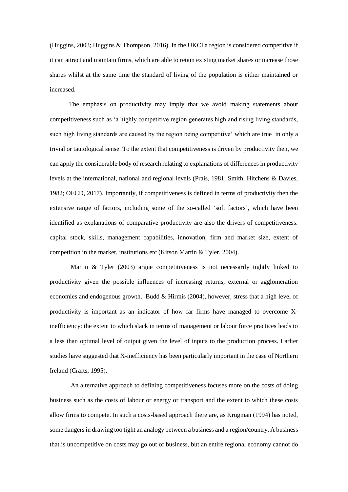(Huggins, 2003; Huggins & Thompson, 2016). In the UKCI a region is considered competitive if it can attract and maintain firms, which are able to retain existing market shares or increase those shares whilst at the same time the standard of living of the population is either maintained or increased.

 The emphasis on productivity may imply that we avoid making statements about competitiveness such as 'a highly competitive region generates high and rising living standards, such high living standards are caused by the region being competitive' which are true in only a trivial or tautological sense. To the extent that competitiveness is driven by productivity then, we can apply the considerable body of research relating to explanations of differences in productivity levels at the international, national and regional levels (Prais, 1981; Smith, Hitchens & Davies, 1982; OECD, 2017). Importantly, if competitiveness is defined in terms of productivity then the extensive range of factors, including some of the so-called 'soft factors', which have been identified as explanations of comparative productivity are also the drivers of competitiveness: capital stock, skills, management capabilities, innovation, firm and market size, extent of competition in the market, institutions etc (Kitson Martin & Tyler, 2004).

Martin  $\&$  Tyler (2003) argue competitiveness is not necessarily tightly linked to productivity given the possible influences of increasing returns, external or agglomeration economies and endogenous growth. Budd & Hirmis (2004), however, stress that a high level of productivity is important as an indicator of how far firms have managed to overcome Xinefficiency: the extent to which slack in terms of management or labour force practices leads to a less than optimal level of output given the level of inputs to the production process. Earlier studies have suggested that X-inefficiency has been particularly important in the case of Northern Ireland (Crafts, 1995).

 An alternative approach to defining competitiveness focuses more on the costs of doing business such as the costs of labour or energy or transport and the extent to which these costs allow firms to compete. In such a costs-based approach there are, as Krugman (1994) has noted, some dangers in drawing too tight an analogy between a business and a region/country. A business that is uncompetitive on costs may go out of business, but an entire regional economy cannot do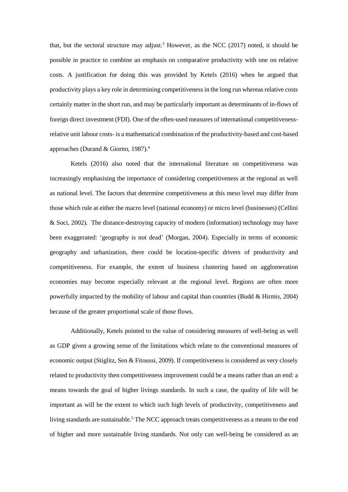that, but the sectoral structure may adjust.<sup>3</sup> However, as the NCC  $(2017)$  noted, it should be possible in practice to combine an emphasis on comparative productivity with one on relative costs. A justification for doing this was provided by Ketels (2016) when he argued that productivity plays a key role in determining competitiveness in the long run whereas relative costs certainly matter in the short run, and may be particularly important as determinants of in-flows of foreign direct investment (FDI). One of the often-used measures of international competitivenessrelative unit labour costs- is a mathematical combination of the productivity-based and cost-based approaches (Durand & Giorno, 1987). 4

Ketels (2016) also noted that the international literature on competitiveness was increasingly emphasising the importance of considering competitiveness at the regional as well as national level. The factors that determine competitiveness at this meso level may differ from those which rule at either the macro level (national economy) or micro level (businesses) (Cellini & Soci, 2002). The distance-destroying capacity of modern (information) technology may have been exaggerated: 'geography is not dead' (Morgan, 2004). Especially in terms of economic geography and urbanization, there could be location-specific drivers of productivity and competitiveness. For example, the extent of business clustering based on agglomeration economies may become especially relevant at the regional level. Regions are often more powerfully impacted by the mobility of labour and capital than countries (Budd & Hirmis, 2004) because of the greater proportional scale of those flows.

 Additionally, Ketels pointed to the value of considering measures of well-being as well as GDP given a growing sense of the limitations which relate to the conventional measures of economic output (Stiglitz, Sen & Fitoussi, 2009). If competitiveness is considered as very closely related to productivity then competitiveness improvement could be a means rather than an end: a means towards the goal of higher livings standards. In such a case, the quality of life will be important as will be the extent to which such high levels of productivity, competitiveness and living standards are sustainable.<sup>5</sup> The NCC approach treats competitiveness as a means to the end of higher and more sustainable living standards. Not only can well-being be considered as an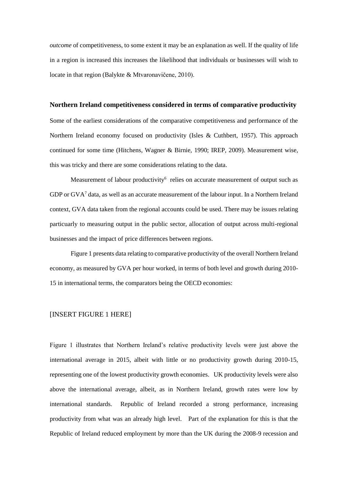*outcome* of competitiveness, to some extent it may be an explanation as well. If the quality of life in a region is increased this increases the likelihood that individuals or businesses will wish to locate in that region (Balykte & Mtvaronavičene, 2010).

#### **Northern Ireland competitiveness considered in terms of comparative productivity**

Some of the earliest considerations of the comparative competitiveness and performance of the Northern Ireland economy focused on productivity (Isles & Cuthbert, 1957). This approach continued for some time (Hitchens, Wagner & Birnie, 1990; IREP, 2009). Measurement wise, this was tricky and there are some considerations relating to the data.

Measurement of labour productivity $6$  relies on accurate measurement of output such as GDP or GVA<sup>7</sup> data, as well as an accurate measurement of the labour input. In a Northern Ireland context, GVA data taken from the regional accounts could be used. There may be issues relating particuarly to measuring output in the public sector, allocation of output across multi-regional businesses and the impact of price differences between regions.

 Figure 1 presents data relating to comparative productivity of the overall Northern Ireland economy, as measured by GVA per hour worked, in terms of both level and growth during 2010- 15 in international terms, the comparators being the OECD economies:

### [INSERT FIGURE 1 HERE]

Figure 1 illustrates that Northern Ireland's relative productivity levels were just above the international average in 2015, albeit with little or no productivity growth during 2010-15, representing one of the lowest productivity growth economies. UK productivity levels were also above the international average, albeit, as in Northern Ireland, growth rates were low by international standards. Republic of Ireland recorded a strong performance, increasing productivity from what was an already high level. Part of the explanation for this is that the Republic of Ireland reduced employment by more than the UK during the 2008-9 recession and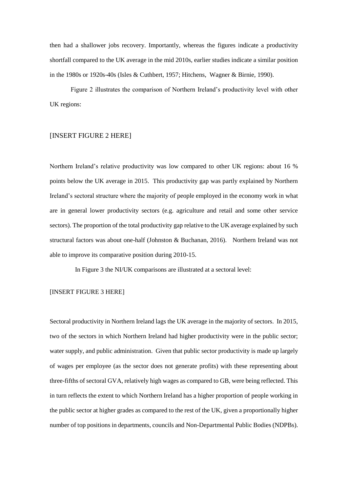then had a shallower jobs recovery. Importantly, whereas the figures indicate a productivity shortfall compared to the UK average in the mid 2010s, earlier studies indicate a similar position in the 1980s or 1920s-40s (Isles & Cuthbert, 1957; Hitchens, Wagner & Birnie, 1990).

 Figure 2 illustrates the comparison of Northern Ireland's productivity level with other UK regions:

### [INSERT FIGURE 2 HERE]

Northern Ireland's relative productivity was low compared to other UK regions: about 16 % points below the UK average in 2015. This productivity gap was partly explained by Northern Ireland's sectoral structure where the majority of people employed in the economy work in what are in general lower productivity sectors (e.g. agriculture and retail and some other service sectors). The proportion of the total productivity gap relative to the UK average explained by such structural factors was about one-half (Johnston & Buchanan, 2016). Northern Ireland was not able to improve its comparative position during 2010-15.

In Figure 3 the NI/UK comparisons are illustrated at a sectoral level:

#### [INSERT FIGURE 3 HERE]

Sectoral productivity in Northern Ireland lags the UK average in the majority of sectors. In 2015, two of the sectors in which Northern Ireland had higher productivity were in the public sector; water supply, and public administration. Given that public sector productivity is made up largely of wages per employee (as the sector does not generate profits) with these representing about three-fifths of sectoral GVA, relatively high wages as compared to GB, were being reflected. This in turn reflects the extent to which Northern Ireland has a higher proportion of people working in the public sector at higher grades as compared to the rest of the UK, given a proportionally higher number of top positions in departments, councils and Non-Departmental Public Bodies (NDPBs).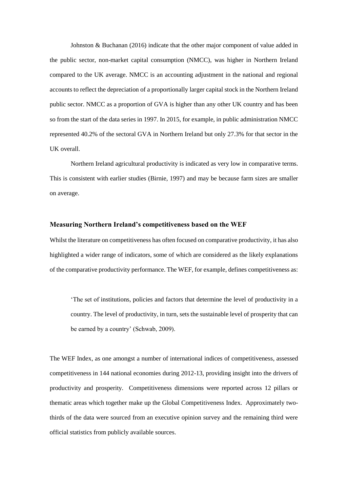Johnston & Buchanan (2016) indicate that the other major component of value added in the public sector, non-market capital consumption (NMCC), was higher in Northern Ireland compared to the UK average. NMCC is an accounting adjustment in the national and regional accounts to reflect the depreciation of a proportionally larger capital stock in the Northern Ireland public sector. NMCC as a proportion of GVA is higher than any other UK country and has been so from the start of the data series in 1997. In 2015, for example, in public administration NMCC represented 40.2% of the sectoral GVA in Northern Ireland but only 27.3% for that sector in the UK overall.

 Northern Ireland agricultural productivity is indicated as very low in comparative terms. This is consistent with earlier studies (Birnie, 1997) and may be because farm sizes are smaller on average.

### **Measuring Northern Ireland's competitiveness based on the WEF**

Whilst the literature on competitiveness has often focused on comparative productivity, it has also highlighted a wider range of indicators, some of which are considered as the likely explanations of the comparative productivity performance. The WEF, for example, defines competitiveness as:

'The set of institutions, policies and factors that determine the level of productivity in a country. The level of productivity, in turn, sets the sustainable level of prosperity that can be earned by a country' (Schwab, 2009).

The WEF Index, as one amongst a number of international indices of competitiveness, assessed competitiveness in 144 national economies during 2012-13, providing insight into the drivers of productivity and prosperity. Competitiveness dimensions were reported across 12 pillars or thematic areas which together make up the Global Competitiveness Index. Approximately twothirds of the data were sourced from an executive opinion survey and the remaining third were official statistics from publicly available sources.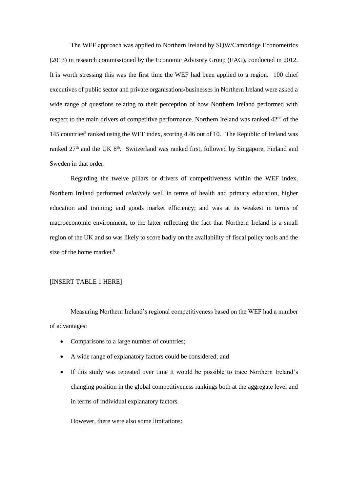The WEF approach was applied to Northern Ireland by SQW/Cambridge Econometrics (2013) in research commissioned by the Economic Advisory Group (EAG), conducted in 2012. It is worth stressing this was the first time the WEF had been applied to a region. 100 chief executives of public sector and private organisations/businesses in Northern Ireland were asked a wide range of questions relating to their perception of how Northern Ireland performed with respect to the main drivers of competitive performance. Northern Ireland was ranked  $42<sup>nd</sup>$  of the 145 countries<sup>8</sup> ranked using the WEF index, scoring 4.46 out of 10. The Republic of Ireland was ranked 27<sup>th</sup> and the UK 8<sup>th</sup>. Switzerland was ranked first, followed by Singapore, Finland and Sweden in that order.

 Regarding the twelve pillars or drivers of competitiveness within the WEF index, Northern Ireland performed *relatively* well in terms of health and primary education, higher education and training; and goods market efficiency; and was at its weakest in terms of macroeconomic environment, to the latter reflecting the fact that Northern Ireland is a small region of the UK and so was likely to score badly on the availability of fiscal policy tools and the size of the home market.<sup>9</sup>

## [INSERT TABLE 1 HERE]

 Measuring Northern Ireland's regional competitiveness based on the WEF had a number of advantages:

- Comparisons to a large number of countries;
- A wide range of explanatory factors could be considered; and
- If this study was repeated over time it would be possible to trace Northern Ireland's changing position in the global competitiveness rankings both at the aggregate level and in terms of individual explanatory factors.

However, there were also some limitations: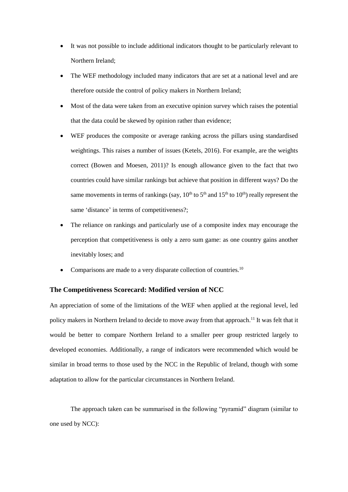- It was not possible to include additional indicators thought to be particularly relevant to Northern Ireland;
- The WEF methodology included many indicators that are set at a national level and are therefore outside the control of policy makers in Northern Ireland;
- Most of the data were taken from an executive opinion survey which raises the potential that the data could be skewed by opinion rather than evidence;
- WEF produces the composite or average ranking across the pillars using standardised weightings. This raises a number of issues (Ketels, 2016). For example, are the weights correct (Bowen and Moesen, 2011)? Is enough allowance given to the fact that two countries could have similar rankings but achieve that position in different ways? Do the same movements in terms of rankings (say,  $10<sup>th</sup>$  to  $5<sup>th</sup>$  and  $15<sup>th</sup>$  to  $10<sup>th</sup>$ ) really represent the same 'distance' in terms of competitiveness?;
- The reliance on rankings and particularly use of a composite index may encourage the perception that competitiveness is only a zero sum game: as one country gains another inevitably loses; and
- Comparisons are made to a very disparate collection of countries.<sup>10</sup>

# **The Competitiveness Scorecard: Modified version of NCC**

An appreciation of some of the limitations of the WEF when applied at the regional level, led policy makers in Northern Ireland to decide to move away from that approach.<sup>11</sup> It was felt that it would be better to compare Northern Ireland to a smaller peer group restricted largely to developed economies. Additionally, a range of indicators were recommended which would be similar in broad terms to those used by the NCC in the Republic of Ireland, though with some adaptation to allow for the particular circumstances in Northern Ireland.

 The approach taken can be summarised in the following "pyramid" diagram (similar to one used by NCC):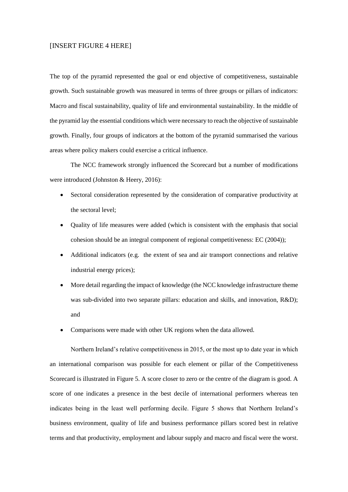# [INSERT FIGURE 4 HERE]

The top of the pyramid represented the goal or end objective of competitiveness, sustainable growth. Such sustainable growth was measured in terms of three groups or pillars of indicators: Macro and fiscal sustainability, quality of life and environmental sustainability. In the middle of the pyramid lay the essential conditions which were necessary to reach the objective of sustainable growth. Finally, four groups of indicators at the bottom of the pyramid summarised the various areas where policy makers could exercise a critical influence.

 The NCC framework strongly influenced the Scorecard but a number of modifications were introduced (Johnston & Heery, 2016):

- Sectoral consideration represented by the consideration of comparative productivity at the sectoral level;
- Quality of life measures were added (which is consistent with the emphasis that social cohesion should be an integral component of regional competitiveness: EC (2004));
- Additional indicators (e.g. the extent of sea and air transport connections and relative industrial energy prices);
- More detail regarding the impact of knowledge (the NCC knowledge infrastructure theme was sub-divided into two separate pillars: education and skills, and innovation,  $R&D$ ); and
- Comparisons were made with other UK regions when the data allowed.

 Northern Ireland's relative competitiveness in 2015, or the most up to date year in which an international comparison was possible for each element or pillar of the Competitiveness Scorecard is illustrated in Figure 5. A score closer to zero or the centre of the diagram is good. A score of one indicates a presence in the best decile of international performers whereas ten indicates being in the least well performing decile. Figure 5 shows that Northern Ireland's business environment, quality of life and business performance pillars scored best in relative terms and that productivity, employment and labour supply and macro and fiscal were the worst.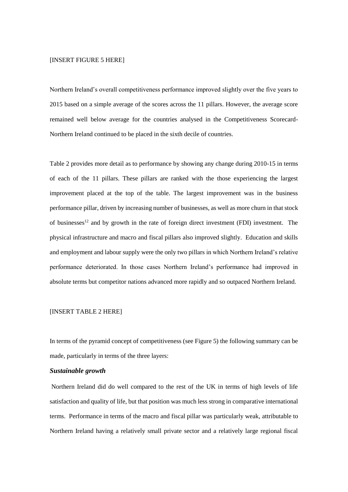#### [INSERT FIGURE 5 HERE]

Northern Ireland's overall competitiveness performance improved slightly over the five years to 2015 based on a simple average of the scores across the 11 pillars. However, the average score remained well below average for the countries analysed in the Competitiveness Scorecard-Northern Ireland continued to be placed in the sixth decile of countries.

Table 2 provides more detail as to performance by showing any change during 2010-15 in terms of each of the 11 pillars. These pillars are ranked with the those experiencing the largest improvement placed at the top of the table. The largest improvement was in the business performance pillar, driven by increasing number of businesses, as well as more churn in that stock of businesses<sup>12</sup> and by growth in the rate of foreign direct investment (FDI) investment. The physical infrastructure and macro and fiscal pillars also improved slightly. Education and skills and employment and labour supply were the only two pillars in which Northern Ireland's relative performance deteriorated. In those cases Northern Ireland's performance had improved in absolute terms but competitor nations advanced more rapidly and so outpaced Northern Ireland.

### [INSERT TABLE 2 HERE]

In terms of the pyramid concept of competitiveness (see Figure 5) the following summary can be made, particularly in terms of the three layers:

# *Sustainable growth*

Northern Ireland did do well compared to the rest of the UK in terms of high levels of life satisfaction and quality of life, but that position was much less strong in comparative international terms. Performance in terms of the macro and fiscal pillar was particularly weak, attributable to Northern Ireland having a relatively small private sector and a relatively large regional fiscal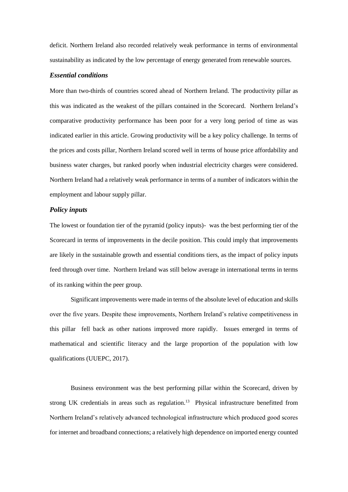deficit. Northern Ireland also recorded relatively weak performance in terms of environmental sustainability as indicated by the low percentage of energy generated from renewable sources.

# *Essential conditions*

More than two-thirds of countries scored ahead of Northern Ireland. The productivity pillar as this was indicated as the weakest of the pillars contained in the Scorecard. Northern Ireland's comparative productivity performance has been poor for a very long period of time as was indicated earlier in this article. Growing productivity will be a key policy challenge. In terms of the prices and costs pillar, Northern Ireland scored well in terms of house price affordability and business water charges, but ranked poorly when industrial electricity charges were considered. Northern Ireland had a relatively weak performance in terms of a number of indicators within the employment and labour supply pillar.

### *Policy inputs*

The lowest or foundation tier of the pyramid (policy inputs)- was the best performing tier of the Scorecard in terms of improvements in the decile position. This could imply that improvements are likely in the sustainable growth and essential conditions tiers, as the impact of policy inputs feed through over time. Northern Ireland was still below average in international terms in terms of its ranking within the peer group.

 Significant improvements were made in terms of the absolute level of education and skills over the five years. Despite these improvements, Northern Ireland's relative competitiveness in this pillar fell back as other nations improved more rapidly. Issues emerged in terms of mathematical and scientific literacy and the large proportion of the population with low qualifications (UUEPC, 2017).

 Business environment was the best performing pillar within the Scorecard, driven by strong UK credentials in areas such as regulation.<sup>13</sup> Physical infrastructure benefitted from Northern Ireland's relatively advanced technological infrastructure which produced good scores for internet and broadband connections; a relatively high dependence on imported energy counted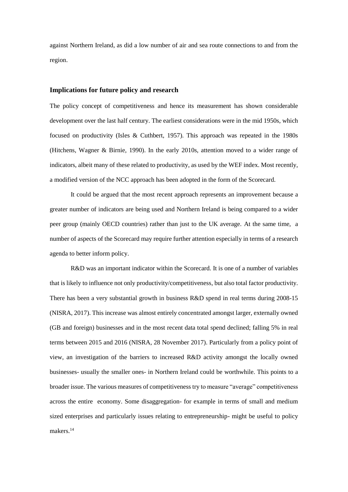against Northern Ireland, as did a low number of air and sea route connections to and from the region.

#### **Implications for future policy and research**

The policy concept of competitiveness and hence its measurement has shown considerable development over the last half century. The earliest considerations were in the mid 1950s, which focused on productivity (Isles & Cuthbert, 1957). This approach was repeated in the 1980s (Hitchens, Wagner & Birnie, 1990). In the early 2010s, attention moved to a wider range of indicators, albeit many of these related to productivity, as used by the WEF index. Most recently, a modified version of the NCC approach has been adopted in the form of the Scorecard.

 It could be argued that the most recent approach represents an improvement because a greater number of indicators are being used and Northern Ireland is being compared to a wider peer group (mainly OECD countries) rather than just to the UK average. At the same time, a number of aspects of the Scorecard may require further attention especially in terms of a research agenda to better inform policy.

 R&D was an important indicator within the Scorecard. It is one of a number of variables that is likely to influence not only productivity/competitiveness, but also total factor productivity. There has been a very substantial growth in business R&D spend in real terms during 2008-15 (NISRA, 2017). This increase was almost entirely concentrated amongst larger, externally owned (GB and foreign) businesses and in the most recent data total spend declined; falling 5% in real terms between 2015 and 2016 (NISRA, 28 November 2017). Particularly from a policy point of view, an investigation of the barriers to increased R&D activity amongst the locally owned businesses- usually the smaller ones- in Northern Ireland could be worthwhile. This points to a broader issue. The various measures of competitiveness try to measure "average" competitiveness across the entire economy. Some disaggregation- for example in terms of small and medium sized enterprises and particularly issues relating to entrepreneurship- might be useful to policy makers.14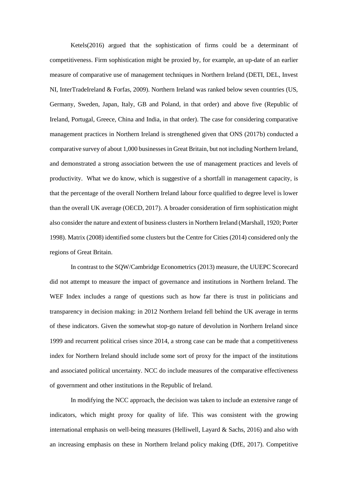Ketels(2016) argued that the sophistication of firms could be a determinant of competitiveness. Firm sophistication might be proxied by, for example, an up-date of an earlier measure of comparative use of management techniques in Northern Ireland (DETI, DEL, Invest NI, InterTradeIreland & Forfas, 2009). Northern Ireland was ranked below seven countries (US, Germany, Sweden, Japan, Italy, GB and Poland, in that order) and above five (Republic of Ireland, Portugal, Greece, China and India, in that order). The case for considering comparative management practices in Northern Ireland is strengthened given that ONS (2017b) conducted a comparative survey of about 1,000 businesses in Great Britain, but not including Northern Ireland, and demonstrated a strong association between the use of management practices and levels of productivity. What we do know, which is suggestive of a shortfall in management capacity, is that the percentage of the overall Northern Ireland labour force qualified to degree level is lower than the overall UK average (OECD, 2017). A broader consideration of firm sophistication might also consider the nature and extent of business clusters in Northern Ireland (Marshall, 1920; Porter 1998). Matrix (2008) identified some clusters but the Centre for Cities (2014) considered only the regions of Great Britain.

 In contrast to the SQW/Cambridge Econometrics (2013) measure, the UUEPC Scorecard did not attempt to measure the impact of governance and institutions in Northern Ireland. The WEF Index includes a range of questions such as how far there is trust in politicians and transparency in decision making: in 2012 Northern Ireland fell behind the UK average in terms of these indicators. Given the somewhat stop-go nature of devolution in Northern Ireland since 1999 and recurrent political crises since 2014, a strong case can be made that a competitiveness index for Northern Ireland should include some sort of proxy for the impact of the institutions and associated political uncertainty. NCC do include measures of the comparative effectiveness of government and other institutions in the Republic of Ireland.

 In modifying the NCC approach, the decision was taken to include an extensive range of indicators, which might proxy for quality of life. This was consistent with the growing international emphasis on well-being measures (Helliwell, Layard & Sachs, 2016) and also with an increasing emphasis on these in Northern Ireland policy making (DfE, 2017). Competitive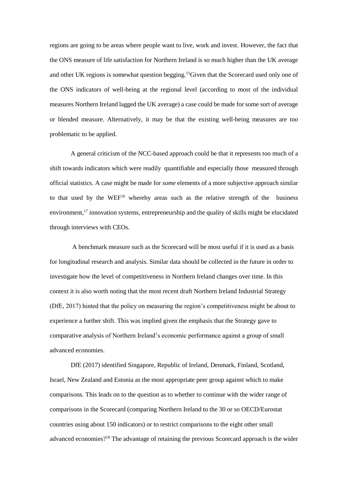regions are going to be areas where people want to live, work and invest. However, the fact that the ONS measure of life satisfaction for Northern Ireland is so much higher than the UK average and other UK regions is somewhat question begging.<sup>15</sup>Given that the Scorecard used only one of the ONS indicators of well-being at the regional level (according to most of the individual measures Northern Ireland lagged the UK average) a case could be made for some sort of average or blended measure. Alternatively, it may be that the existing well-being measures are too problematic to be applied.

 A general criticism of the NCC-based approach could be that it represents too much of a shift towards indicators which were readily quantifiable and especially those measured through official statistics. A case might be made for *some* elements of a more subjective approach similar to that used by the WEF<sup>16</sup> whereby areas such as the relative strength of the business environment,<sup>17</sup> innovation systems, entrepreneurship and the quality of skills might be elucidated through interviews with CEOs.

 A benchmark measure such as the Scorecard will be most useful if it is used as a basis for longitudinal research and analysis. Similar data should be collected in the future in order to investigate how the level of competitiveness in Northern Ireland changes over time. In this context it is also worth noting that the most recent draft Northern Ireland Industrial Strategy (DfE, 2017) hinted that the policy on measuring the region's competitiveness might be about to experience a further shift. This was implied given the emphasis that the Strategy gave to comparative analysis of Northern Ireland's economic performance against a group of small advanced economies.

 DfE (2017) identified Singapore, Republic of Ireland, Denmark, Finland, Scotland, Israel, New Zealand and Estonia as the most appropriate peer group against which to make comparisons. This leads on to the question as to whether to continue with the wider range of comparisons in the Scorecard (comparing Northern Ireland to the 30 or so OECD/Eurostat countries using about 150 indicators) or to restrict comparisons to the eight other small advanced economies?<sup>18</sup> The advantage of retaining the previous Scorecard approach is the wider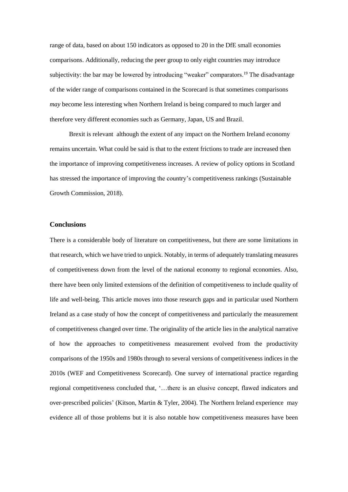range of data, based on about 150 indicators as opposed to 20 in the DfE small economies comparisons. Additionally, reducing the peer group to only eight countries may introduce subjectivity: the bar may be lowered by introducing "weaker" comparators.<sup>19</sup> The disadvantage of the wider range of comparisons contained in the Scorecard is that sometimes comparisons *may* become less interesting when Northern Ireland is being compared to much larger and therefore very different economies such as Germany, Japan, US and Brazil.

 Brexit is relevant although the extent of any impact on the Northern Ireland economy remains uncertain. What could be said is that to the extent frictions to trade are increased then the importance of improving competitiveness increases. A review of policy options in Scotland has stressed the importance of improving the country's competitiveness rankings (Sustainable Growth Commission, 2018).

## **Conclusions**

There is a considerable body of literature on competitiveness, but there are some limitations in that research, which we have tried to unpick. Notably, in terms of adequately translating measures of competitiveness down from the level of the national economy to regional economies. Also, there have been only limited extensions of the definition of competitiveness to include quality of life and well-being. This article moves into those research gaps and in particular used Northern Ireland as a case study of how the concept of competitiveness and particularly the measurement of competitiveness changed over time. The originality of the article lies in the analytical narrative of how the approaches to competitiveness measurement evolved from the productivity comparisons of the 1950s and 1980s through to several versions of competitiveness indices in the 2010s (WEF and Competitiveness Scorecard). One survey of international practice regarding regional competitiveness concluded that, '…there is an elusive concept, flawed indicators and over-prescribed policies' (Kitson, Martin & Tyler, 2004). The Northern Ireland experience may evidence all of those problems but it is also notable how competitiveness measures have been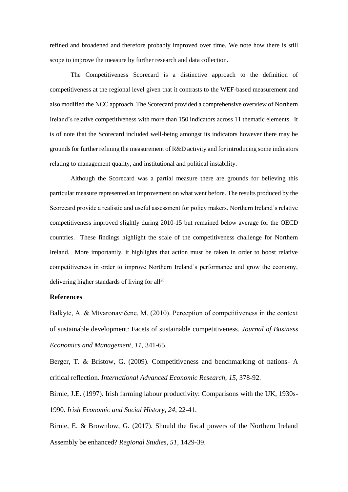refined and broadened and therefore probably improved over time. We note how there is still scope to improve the measure by further research and data collection.

 The Competitiveness Scorecard is a distinctive approach to the definition of competitiveness at the regional level given that it contrasts to the WEF-based measurement and also modified the NCC approach. The Scorecard provided a comprehensive overview of Northern Ireland's relative competitiveness with more than 150 indicators across 11 thematic elements. It is of note that the Scorecard included well-being amongst its indicators however there may be grounds for further refining the measurement of R&D activity and for introducing some indicators relating to management quality, and institutional and political instability.

 Although the Scorecard was a partial measure there are grounds for believing this particular measure represented an improvement on what went before. The results produced by the Scorecard provide a realistic and useful assessment for policy makers. Northern Ireland's relative competitiveness improved slightly during 2010-15 but remained below average for the OECD countries. These findings highlight the scale of the competitiveness challenge for Northern Ireland. More importantly, it highlights that action must be taken in order to boost relative competitiveness in order to improve Northern Ireland's performance and grow the economy, delivering higher standards of living for all<sup>20</sup>

## **References**

Balkyte, A. & Mtvaronavičene, M. (2010). Perception of competitiveness in the context of sustainable development: Facets of sustainable competitiveness. *Journal of Business Economics and Management*, *11*, 341-65.

Berger, T. & Bristow, G. (2009). Competitiveness and benchmarking of nations- A critical reflection. *International Advanced Economic Research*, *15,* 378-92.

Birnie, J.E. (1997). Irish farming labour productivity: Comparisons with the UK, 1930s-1990. *Irish Economic and Social History, 24*, 22-41.

Birnie, E. & Brownlow, G. (2017). Should the fiscal powers of the Northern Ireland Assembly be enhanced? *Regional Studies*, *51,* 1429-39.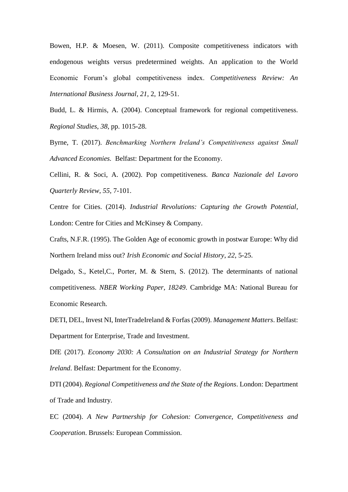Bowen, H.P. & Moesen, W. (2011). Composite competitiveness indicators with endogenous weights versus predetermined weights. An application to the World Economic Forum's global competitiveness index. *Competitiveness Review: An International Business Journal*, *21*, 2, 129-51.

Budd, L. & Hirmis, A. (2004). Conceptual framework for regional competitiveness. *Regional Studies*, *38*, pp. 1015-28.

Byrne, T. (2017). *Benchmarking Northern Ireland's Competitiveness against Small Advanced Economies.* Belfast: Department for the Economy.

Cellini, R. & Soci, A. (2002). Pop competitiveness. *Banca Nazionale del Lavoro Quarterly Review*, *55*, 7-101.

Centre for Cities. (2014). *Industrial Revolutions: Capturing the Growth Potential*, London: Centre for Cities and McKinsey & Company.

Crafts, N.F.R. (1995). The Golden Age of economic growth in postwar Europe: Why did Northern Ireland miss out? *Irish Economic and Social History*, *22*, 5-25.

Delgado, S., Ketel,C., Porter, M. & Stern, S. (2012). The determinants of national competitiveness. *NBER Working Paper*, *18249*. Cambridge MA: National Bureau for Economic Research.

DETI, DEL, Invest NI, InterTradeIreland & Forfas (2009). *Management Matters*. Belfast: Department for Enterprise, Trade and Investment.

DfE (2017). *Economy 2030: A Consultation on an Industrial Strategy for Northern Ireland*. Belfast: Department for the Economy.

DTI (2004). *Regional Competitiveness and the State of the Regions*. London: Department of Trade and Industry.

EC (2004). *A New Partnership for Cohesion: Convergence, Competitiveness and Cooperation*. Brussels: European Commission.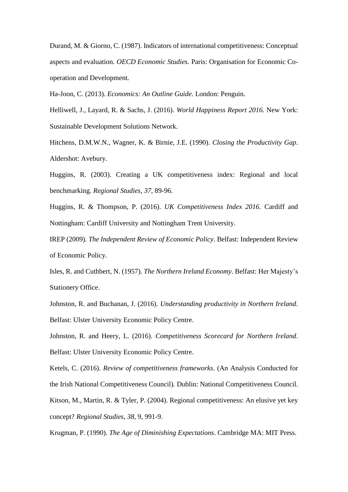Durand, M. & Giorno, C. (1987). Indicators of international competitiveness: Conceptual aspects and evaluation. *OECD Economic Studies.* Paris: Organisation for Economic Cooperation and Development.

Ha-Joon, C. (2013). *Economics: An Outline Guide*. London: Penguin.

Helliwell, J., Layard, R. & Sachs, J. (2016). *World Happiness Report 2016.* New York: Sustainable Development Solutions Network.

Hitchens, D.M.W.N., Wagner, K. & Birnie, J.E. (1990). *Closing the Productivity Gap*. Aldershot: Avebury.

Huggins, R. (2003). Creating a UK competitiveness index: Regional and local benchmarking. *Regional Studies*, *37*, 89-96.

Huggins, R. & Thompson, P. (2016). *UK Competitiveness Index 2016.* Cardiff and Nottingham: Cardiff University and Nottingham Trent University.

IREP (2009). *The Independent Review of Economic Policy*. Belfast: Independent Review of Economic Policy.

Isles, R. and Cuthbert, N. (1957). *The Northern Ireland Economy*. Belfast: Her Majesty's Stationery Office.

Johnston, R. and Buchanan, J. (2016). *Understanding productivity in Northern Ireland*. Belfast: Ulster University Economic Policy Centre.

Johnston, R. and Heery, L. (2016). *Competitiveness Scorecard for Northern Ireland*. Belfast: Ulster University Economic Policy Centre.

Ketels, C. (2016). *Review of competitiveness frameworks*. (An Analysis Conducted for the Irish National Competitiveness Council)*.* Dublin: National Competitiveness Council. Kitson, M., Martin, R. & Tyler, P. (2004). Regional competitiveness: An elusive yet key concept? *Regional Studies*, *38,* 9, 991-9.

Krugman, P. (1990). *The Age of Diminishing Expectations*. Cambridge MA: MIT Press.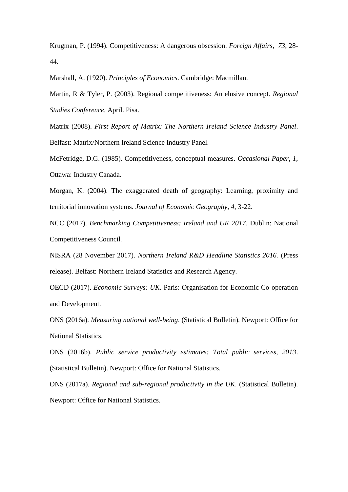Krugman, P. (1994). Competitiveness: A dangerous obsession. *Foreign Affairs*, *73*, 28- 44.

Marshall, A. (1920). *Principles of Economics*. Cambridge: Macmillan.

Martin, R & Tyler, P. (2003). Regional competitiveness: An elusive concept. *Regional Studies Conference,* April. Pisa.

Matrix (2008). *First Report of Matrix: The Northern Ireland Science Industry Panel*. Belfast: Matrix/Northern Ireland Science Industry Panel.

McFetridge, D.G. (1985). Competitiveness, conceptual measures. *Occasional Paper*, *1*, Ottawa: Industry Canada.

Morgan, K. (2004). The exaggerated death of geography: Learning, proximity and territorial innovation systems. *Journal of Economic Geography, 4*, 3-22.

NCC (2017). *Benchmarking Competitiveness: Ireland and UK 2017*. Dublin: National Competitiveness Council*.*

NISRA (28 November 2017). *Northern Ireland R&D Headline Statistics 2016.* (Press release). Belfast: Northern Ireland Statistics and Research Agency.

OECD (2017). *Economic Surveys: UK.* Paris: Organisation for Economic Co-operation and Development.

ONS (2016a). *Measuring national well-being*. (Statistical Bulletin)*.* Newport: Office for National Statistics.

ONS (2016b). *Public service productivity estimates: Total public services, 2013*. (Statistical Bulletin). Newport: Office for National Statistics.

ONS (2017a). *Regional and sub-regional productivity in the UK*. (Statistical Bulletin). Newport: Office for National Statistics.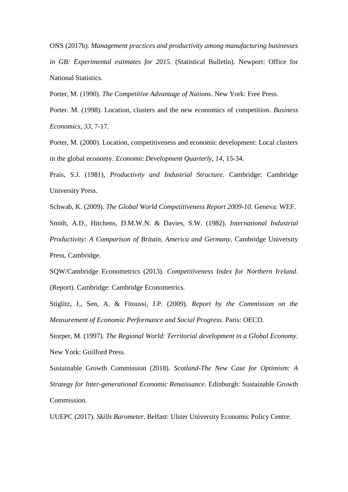ONS (2017b). *Management practices and productivity among manufacturing businesses in GB: Experimental estimates for 2015*. (Statistical Bulletin)*.* Newport: Office for National Statistics.

Porter, M. (1990). *The Competitive Advantage of Nations*. New York: Free Press.

Porter. M. (1998). Location, clusters and the new economics of competition. *Business Economics*, *33*, 7-17.

Porter, M. (2000). Location, competitiveness and economic development: Local clusters in the global economy. *Economic Development Quarterly, 14*, 15-34.

Prais, S.J. (1981), *Productivity and Industrial Structure.* Cambridge: Cambridge University Press.

Schwab, K. (2009). *The Global World Competitiveness Report 2009-10*. Geneva: WEF.

Smith, A.D., Hitchens, D.M.W.N. & Davies, S.W. (1982). *International Industrial Productivity: A Comparison of Britain, America and Germany,* Cambridge University Press, Cambridge.

SQW/Cambridge Econometrics (2013). *Competitiveness Index for Northern Ireland*. (Report). Cambridge: Cambridge Econometrics.

Stiglitz, J., Sen, A. & Fitoussi, J.P. (2009). *Report by the Commission on the Measurement of Economic Performance and Social Progress*. Paris: OECD.

Storper, M. (1997). *The Regional World: Territorial development in a Global Economy.* New York: Guilford Press.

Sustainable Growth Commission (2018). *Scotland-The New Case for Optimism: A Strategy for Inter-generational Economic Renaissance*. Edinburgh: Sustainable Growth Commission.

UUEPC (2017). *Skills Barometer*. Belfast: Ulster University Economic Policy Centre.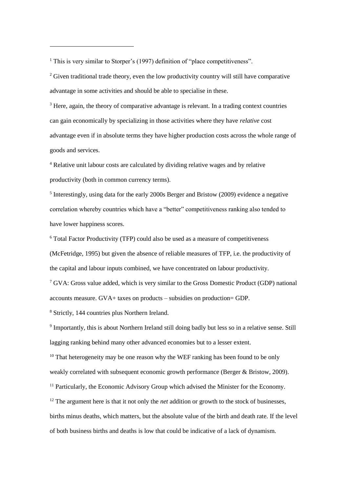$<sup>1</sup>$  This is very similar to Storper's (1997) definition of "place competitiveness".</sup>

-

 $2$  Given traditional trade theory, even the low productivity country will still have comparative advantage in some activities and should be able to specialise in these.

<sup>3</sup> Here, again, the theory of comparative advantage is relevant. In a trading context countries can gain economically by specializing in those activities where they have *relative* cost advantage even if in absolute terms they have higher production costs across the whole range of goods and services.

<sup>4</sup> Relative unit labour costs are calculated by dividing relative wages and by relative productivity (both in common currency terms).

<sup>5</sup> Interestingly, using data for the early 2000s Berger and Bristow (2009) evidence a negative correlation whereby countries which have a "better" competitiveness ranking also tended to have lower happiness scores.

<sup>6</sup> Total Factor Productivity (TFP) could also be used as a measure of competitiveness (McFetridge, 1995) but given the absence of reliable measures of TFP, i.e. the productivity of the capital and labour inputs combined, we have concentrated on labour productivity.

<sup>7</sup> GVA: Gross value added, which is very similar to the Gross Domestic Product (GDP) national accounts measure. GVA+ taxes on products – subsidies on production= GDP.

<sup>8</sup> Strictly, 144 countries plus Northern Ireland.

<sup>9</sup> Importantly, this is about Northern Ireland still doing badly but less so in a relative sense. Still lagging ranking behind many other advanced economies but to a lesser extent.

 $10$  That heterogeneity may be one reason why the WEF ranking has been found to be only weakly correlated with subsequent economic growth performance (Berger & Bristow, 2009).

<sup>11</sup> Particularly, the Economic Advisory Group which advised the Minister for the Economy.

<sup>12</sup> The argument here is that it not only the *net* addition or growth to the stock of businesses,

births minus deaths, which matters, but the absolute value of the birth and death rate. If the level

of both business births and deaths is low that could be indicative of a lack of dynamism.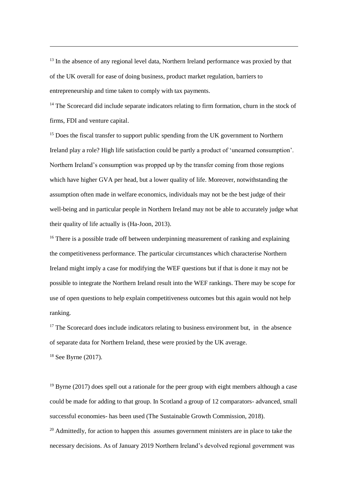<sup>13</sup> In the absence of any regional level data, Northern Ireland performance was proxied by that of the UK overall for ease of doing business, product market regulation, barriers to entrepreneurship and time taken to comply with tax payments.

 $14$  The Scorecard did include separate indicators relating to firm formation, churn in the stock of firms, FDI and venture capital.

<sup>15</sup> Does the fiscal transfer to support public spending from the UK government to Northern Ireland play a role? High life satisfaction could be partly a product of 'unearned consumption'. Northern Ireland's consumption was propped up by the transfer coming from those regions which have higher GVA per head, but a lower quality of life. Moreover, notwithstanding the assumption often made in welfare economics, individuals may not be the best judge of their well-being and in particular people in Northern Ireland may not be able to accurately judge what their quality of life actually is (Ha-Joon, 2013).

<sup>16</sup> There is a possible trade off between underpinning measurement of ranking and explaining the competitiveness performance. The particular circumstances which characterise Northern Ireland might imply a case for modifying the WEF questions but if that is done it may not be possible to integrate the Northern Ireland result into the WEF rankings. There may be scope for use of open questions to help explain competitiveness outcomes but this again would not help ranking.

 $17$  The Scorecard does include indicators relating to business environment but, in the absence of separate data for Northern Ireland, these were proxied by the UK average.

 $18$  See Byrne (2017).

-

 $19$  Byrne (2017) does spell out a rationale for the peer group with eight members although a case could be made for adding to that group. In Scotland a group of 12 comparators- advanced, small successful economies- has been used (The Sustainable Growth Commission, 2018).

 $20$  Admittedly, for action to happen this assumes government ministers are in place to take the necessary decisions. As of January 2019 Northern Ireland's devolved regional government was